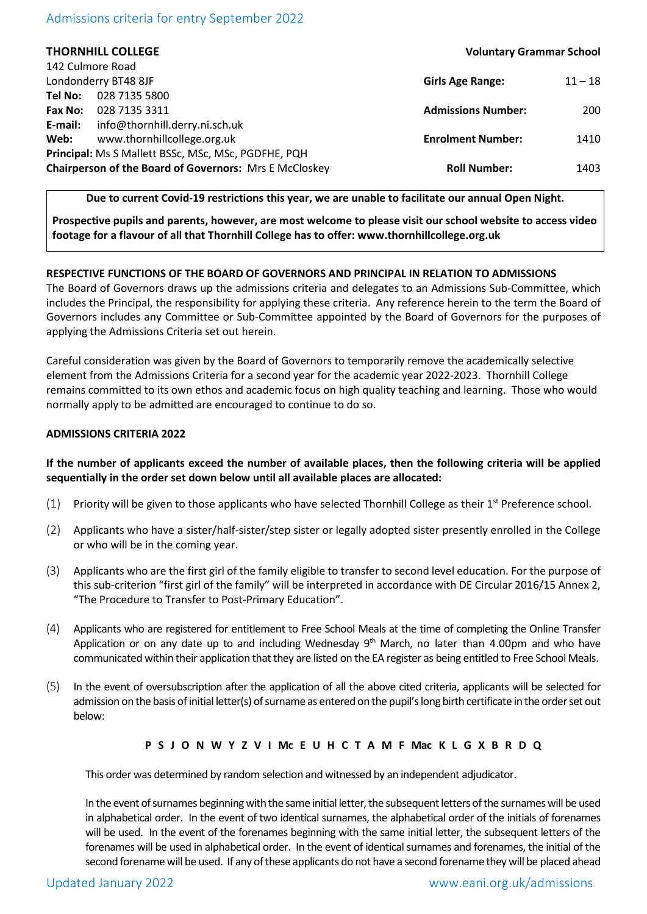# Admissions criteria for entry September 2022

| <b>THORNHILL COLLEGE</b>                               | <b>Voluntary Grammar School</b>      |      |
|--------------------------------------------------------|--------------------------------------|------|
| 142 Culmore Road                                       |                                      |      |
| Londonderry BT48 8JF                                   | <b>Girls Age Range:</b><br>$11 - 18$ |      |
| 028 7135 5800<br>Tel No:                               |                                      |      |
| 028 7135 3311<br>Fax No:                               | <b>Admissions Number:</b>            | 200  |
| info@thornhill.derry.ni.sch.uk<br>E-mail:              |                                      |      |
| www.thornhillcollege.org.uk<br>Web:                    | <b>Enrolment Number:</b>             | 1410 |
| Principal: Ms S Mallett BSSc, MSc, MSc, PGDFHE, PQH    |                                      |      |
| Chairperson of the Board of Governors: Mrs E McCloskey | <b>Roll Number:</b>                  | 1403 |
|                                                        |                                      |      |

## **Due to current Covid-19 restrictions this year, we are unable to facilitate our annual Open Night.**

**Prospective pupils and parents, however, are most welcome to please visit our school website to access video footage for a flavour of all that Thornhill College has to offer: www.thornhillcollege.org.uk**

## **RESPECTIVE FUNCTIONS OF THE BOARD OF GOVERNORS AND PRINCIPAL IN RELATION TO ADMISSIONS**

The Board of Governors draws up the admissions criteria and delegates to an Admissions Sub-Committee, which includes the Principal, the responsibility for applying these criteria. Any reference herein to the term the Board of Governors includes any Committee or Sub-Committee appointed by the Board of Governors for the purposes of applying the Admissions Criteria set out herein.

Careful consideration was given by the Board of Governors to temporarily remove the academically selective element from the Admissions Criteria for a second year for the academic year 2022-2023. Thornhill College remains committed to its own ethos and academic focus on high quality teaching and learning. Those who would normally apply to be admitted are encouraged to continue to do so.

### **ADMISSIONS CRITERIA 2022**

# **If the number of applicants exceed the number of available places, then the following criteria will be applied sequentially in the order set down below until all available places are allocated:**

- $(1)$  Priority will be given to those applicants who have selected Thornhill College as their 1<sup>st</sup> Preference school.
- (2) Applicants who have a sister/half-sister/step sister or legally adopted sister presently enrolled in the College or who will be in the coming year.
- (3) Applicants who are the first girl of the family eligible to transfer to second level education. For the purpose of this sub-criterion "first girl of the family" will be interpreted in accordance with DE Circular 2016/15 Annex 2, "The Procedure to Transfer to Post-Primary Education".
- (4) Applicants who are registered for entitlement to Free School Meals at the time of completing the Online Transfer Application or on any date up to and including Wednesday  $9<sup>th</sup>$  March, no later than 4.00pm and who have communicated within their application that they are listed on the EA register as being entitled to Free School Meals.
- (5) In the event of oversubscription after the application of all the above cited criteria, applicants will be selected for admission on the basis of initial letter(s) of surname as entered on the pupil's long birth certificate in the order set out below:

#### **P S J O N W Y Z V I Mc E U H C T A M F Mac K L G X B R D Q**

This order was determined by random selection and witnessed by an independent adjudicator.

In the event of surnames beginning with the same initial letter, the subsequent letters of the surnames will be used in alphabetical order. In the event of two identical surnames, the alphabetical order of the initials of forenames will be used. In the event of the forenames beginning with the same initial letter, the subsequent letters of the forenames will be used in alphabetical order. In the event of identical surnames and forenames, the initial of the second forename will be used. If any of these applicants do not have a second forename they will be placed ahead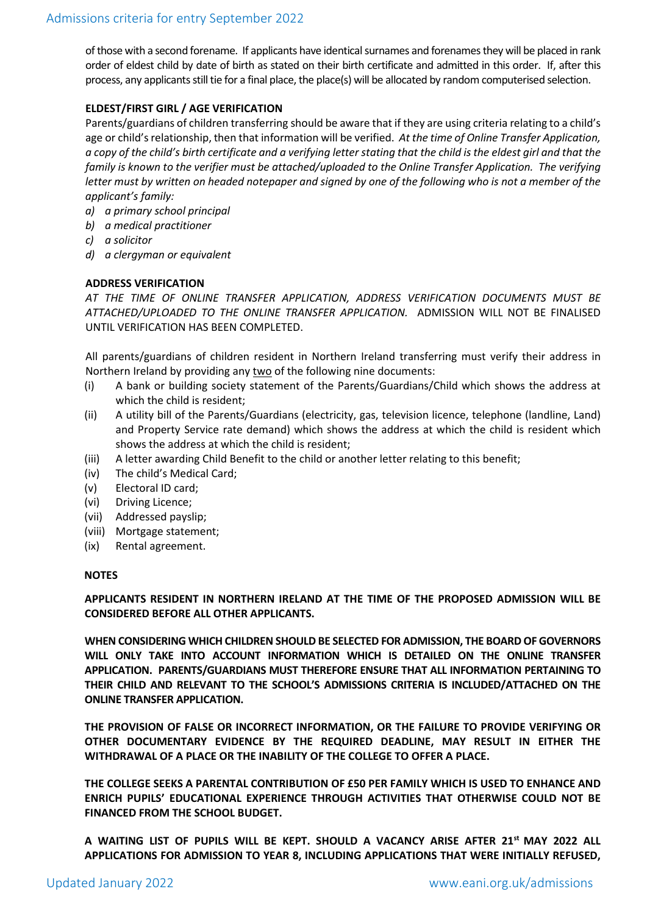of those with a second forename. If applicants have identical surnames and forenames they will be placed in rank order of eldest child by date of birth as stated on their birth certificate and admitted in this order. If, after this process, any applicants still tie for a final place, the place(s) will be allocated by random computerised selection.

# **ELDEST/FIRST GIRL / AGE VERIFICATION**

Parents/guardians of children transferring should be aware that if they are using criteria relating to a child's age or child's relationship, then that information will be verified. *At the time of Online Transfer Application, a copy of the child's birth certificate and a verifying letter stating that the child is the eldest girl and that the family is known to the verifier must be attached/uploaded to the Online Transfer Application. The verifying letter must by written on headed notepaper and signed by one of the following who is not a member of the applicant's family:*

- *a) a primary school principal*
- *b) a medical practitioner*
- *c) a solicitor*
- *d) a clergyman or equivalent*

# **ADDRESS VERIFICATION**

*AT THE TIME OF ONLINE TRANSFER APPLICATION, ADDRESS VERIFICATION DOCUMENTS MUST BE ATTACHED/UPLOADED TO THE ONLINE TRANSFER APPLICATION.* ADMISSION WILL NOT BE FINALISED UNTIL VERIFICATION HAS BEEN COMPLETED.

All parents/guardians of children resident in Northern Ireland transferring must verify their address in Northern Ireland by providing any two of the following nine documents:

- (i) A bank or building society statement of the Parents/Guardians/Child which shows the address at which the child is resident;
- (ii) A utility bill of the Parents/Guardians (electricity, gas, television licence, telephone (landline, Land) and Property Service rate demand) which shows the address at which the child is resident which shows the address at which the child is resident;
- (iii) A letter awarding Child Benefit to the child or another letter relating to this benefit;
- (iv) The child's Medical Card;
- (v) Electoral ID card;
- (vi) Driving Licence;
- (vii) Addressed payslip;
- (viii) Mortgage statement;
- (ix) Rental agreement.

## **NOTES**

**APPLICANTS RESIDENT IN NORTHERN IRELAND AT THE TIME OF THE PROPOSED ADMISSION WILL BE CONSIDERED BEFORE ALL OTHER APPLICANTS.**

**WHEN CONSIDERING WHICH CHILDREN SHOULD BE SELECTED FOR ADMISSION, THE BOARD OF GOVERNORS WILL ONLY TAKE INTO ACCOUNT INFORMATION WHICH IS DETAILED ON THE ONLINE TRANSFER APPLICATION. PARENTS/GUARDIANS MUST THEREFORE ENSURE THAT ALL INFORMATION PERTAINING TO THEIR CHILD AND RELEVANT TO THE SCHOOL'S ADMISSIONS CRITERIA IS INCLUDED/ATTACHED ON THE ONLINE TRANSFER APPLICATION.**

**THE PROVISION OF FALSE OR INCORRECT INFORMATION, OR THE FAILURE TO PROVIDE VERIFYING OR OTHER DOCUMENTARY EVIDENCE BY THE REQUIRED DEADLINE, MAY RESULT IN EITHER THE WITHDRAWAL OF A PLACE OR THE INABILITY OF THE COLLEGE TO OFFER A PLACE.**

**THE COLLEGE SEEKS A PARENTAL CONTRIBUTION OF £50 PER FAMILY WHICH IS USED TO ENHANCE AND ENRICH PUPILS' EDUCATIONAL EXPERIENCE THROUGH ACTIVITIES THAT OTHERWISE COULD NOT BE FINANCED FROM THE SCHOOL BUDGET.**

**A WAITING LIST OF PUPILS WILL BE KEPT. SHOULD A VACANCY ARISE AFTER 21st MAY 2022 ALL APPLICATIONS FOR ADMISSION TO YEAR 8, INCLUDING APPLICATIONS THAT WERE INITIALLY REFUSED,**